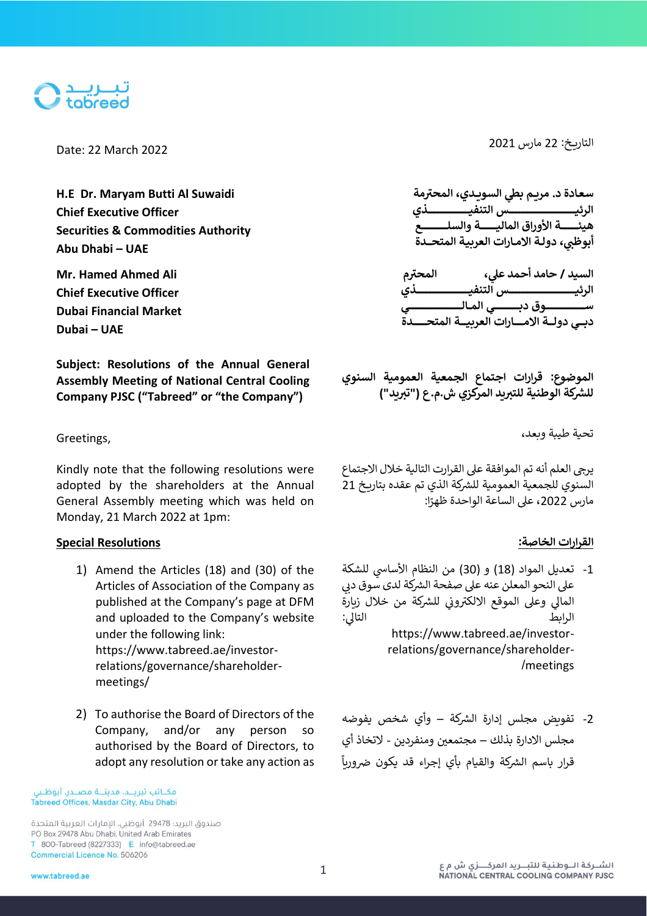

**H.E Dr. Maryam Butti Al Suwaidi Chief Executive Officer Securities & Commodities Authority Abu Dhabi – UAE**

**Mr. Hamed Ahmed Ali Chief Executive Officer Dubai Financial Market Dubai – UAE**

**Subject: Resolutions of the Annual General Assembly Meeting of National Central Cooling Company PJSC ("Tabreed" or "the Company")**

Kindly note that the following resolutions were adopted by the shareholders at the Annual General Assembly meeting which was held on Monday, 21 March 2022 at 1pm:

# **القرارات الخاصة : Resolutions Special**

- 1) Amend the Articles (18) and (30) of the Articles of Association of the Company as published at the Company's page at DFM and uploaded to the Company's website under the following link: https://www.tabreed.ae/investorrelations/governance/shareholdermeetings/
- 2) To authorise the Board of Directors of the Company, and/or any person so authorised by the Board of Directors, to adopt any resolution or take any action as

مكــاتب تبريـــد، مدينـــة مصــدر، أبوظـبى Tabreed Offices, Masdar City, Abu Dhabi

صندوق البريد؛ 29478 أبوظبي، الإمارات العربية المتحدة PO Box 29478 Abu Dhabi, United Arab Emirates T 800-Tabreed (8227333) E info@tabreed.ae Commercial Licence No. 506206

التاري خ: <sup>22</sup> مارس 2021 2022 March 22 :Date

**سعـادة د. مريــم م يط السويـ ـدي، المحت <sup>ر</sup> ب ة الرئيــــــــــــــــــــــــــــــــــــــــــــــــــس التنفيـــــــــــــــــــــــــــــــذي هيئــــــ ـــ ــــة األوراق الماليـــــــ ــــــة والسلـــــــــــــــــــع ي أبوظ ب، دولــة االمــارات العربيـة المتحــــدة**

**يل السيد ، / حامد أحمد ع م المحت <sup>ر</sup> الرئيــــــــــــــــــــــــــــــــــــــــــــــــــس التنفيــــــــــــــــــــــــــــــــــــــــذي ســـــــــــــــــــــــــــــوق دبـــــــــــــــــــي المـــالــــــــــــــــــــــــــــــــــــــــي دبـــــي دولــــة االمــــــــارات العربيـــــة المتحــــــــــدة**

**الموضوع : قرارات اجتماع الجمعية العمومية السنوي** للشركة الوطنية للتبريد المركزي ش.م.ع ("تبريد")

تحية طيبة وبعد، ,Greetings

يرجي العلم أنه تم الموافقة على القرارت التالية خلال الاجتماع السنوي للجمعية العمومية للشركة الذي تم عقده بتاريخ 21 ֖֖֖֪֪֪֚֚֚֚֚֚֚֚֚֓֝֟֓֟֓֟֓֟֓֟֓֟֓֟֓֟֓֟֓֟֓֟֓֝֓֟֓֝֬֓֟ مارس 2022، على الساعة الواحدة ظهرًا:

- 1- تعديل المواد (18) و (30) من النظام الأساسي للشكة<br>-على النحو المعلن عنه على صفحة الشركة لدى سوق دبي<br>. .<br>المالي وعلى الموقع الالكتروني للشركة من خلال زبارة ي التالي: الرابط التا https://www.tabreed.ae/investorrelations/governance/shareholder- /meetings
- 2- تفويض مجلس إدارة الشركة وأي شخص يفوضه مجلس الادارة بذلك – مجتمعين ومنفردين - لاتخاذ أي .<br>قرار باسم الشركة والقيام بأي إجراء قد يكون ضرورياً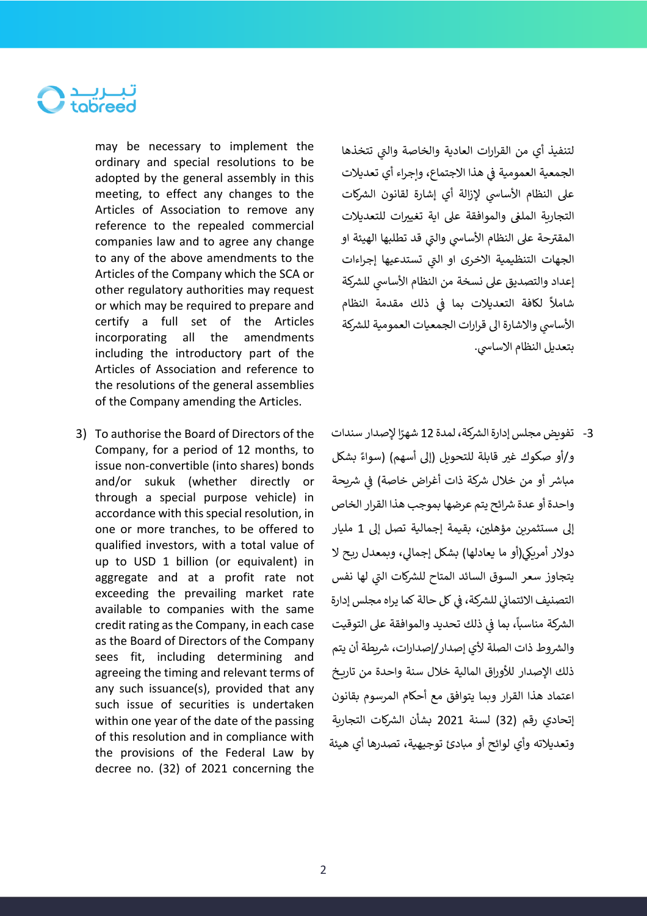

may be necessary to implement the ordinary and special resolutions to be adopted by the general assembly in this meeting, to effect any changes to the Articles of Association to remove any reference to the repealed commercial companies law and to agree any change to any of the above amendments to the Articles of the Company which the SCA or other regulatory authorities may request or which may be required to prepare and certify a full set of the Articles incorporating all the amendments including the introductory part of the Articles of Association and reference to the resolutions of the general assemblies of the Company amending the Articles.

3) To authorise the Board of Directors of the Company, for a period of 12 months, to issue non-convertible (into shares) bonds and/or sukuk (whether directly or through a special purpose vehicle) in accordance with this special resolution, in one or more tranches, to be offered to qualified investors, with a total value of up to USD 1 billion (or equivalent) in aggregate and at a profit rate not exceeding the prevailing market rate available to companies with the same credit rating as the Company, in each case as the Board of Directors of the Company sees fit, including determining and agreeing the timing and relevant terms of any such issuance(s), provided that any such issue of securities is undertaken within one year of the date of the passing of this resolution and in compliance with the provisions of the Federal Law by decree no. (32) of 2021 concerning the

لتنفيذ أي من القرارات العادية والخاصة والتي تتخذها ي الجمعية العمومية في هذا الاجتماع، وإجراء أي تعديلات ֦֧֦֧֦֧֦֧֢ׅׅׅ֪֪ׅ֚֚֚֡֜֜֓֡֜֡֜֓֡֡֜֓֡֡ على النظام الأساسي لإزالة أي إشارة لقانون الشركات التجارية المل<mark>غ</mark>ى والموافقة على اية تغييرات للتعديلات المقترحة على النظام الأساسي والتي قد تطلبها الهيئة او ي الجهات التنظيمية الاخرى او الت<mark>ي تستدعيها إجر</mark>اءات ي إعداد والتصديق على نسخة من النظام الأساسي للشركة شاملاً لكافة التعديلات بما في ذلك مقدمة النظام j الأساسي والاشارة الى قرارات الجمعيات العمومية للشركة بتعديل النظام الاساسي.

3- تفويض مجلس إدارة الشركة، لمدة 12 شهرًا لإصدار سندات و/أو صكوك غير قابلة للتحويل (إلى أسهم) (سواءً بشكل مباشر أو من خلال شركة ذات أغراض خاصة) في شريحة j واحدة أو عدة شرائح يتم عرضها بموجب هذا القرار الخاص إلى مستثمرين مؤهلين، بقيمة إجمالية تصل إلى 1 مليار دولار أمريكي(أو ما يعادلها) بشكل إجمالي، وبمعدل ربح لا يتجاوز سعر السوق السائد المتاح للشركات التي لها نفس ي التصنيف الائتماني للشركة، في كل حالة كما يراه مجلس إدارة ي ֧֧֢֧֦֧֢֦֧֡֝֟֓֝֜֜֜֜֜֜֜֜ ي ֦֧֢֦֧֦֧֦֧ׅׅׅׅׅ֚֚֚֡֜֓֡֜֜֓֡֡֜֓֡֡֬֜֓֡֬֜֓֡֬֜֓֡֬ .<br>الشركة مناسباً، بما في ذلك تحديد والموافقة على التوقيت ي والشروط ذات الصلة لأي إصدار/إصدارات، شريطة أن يتم ذلك الإصدار للأوراق المالية خلال سنة واحدة من تاريخ اعتماد هذا القرار وبما يتوافق مع أحكام المرسوم بقانون إتحادي رقم (32) لسنة 2021 بشأن الشركات التجاربة وتعديالته وأي لوائح أو مبادئ توجيهية، تصدرها أي هيئة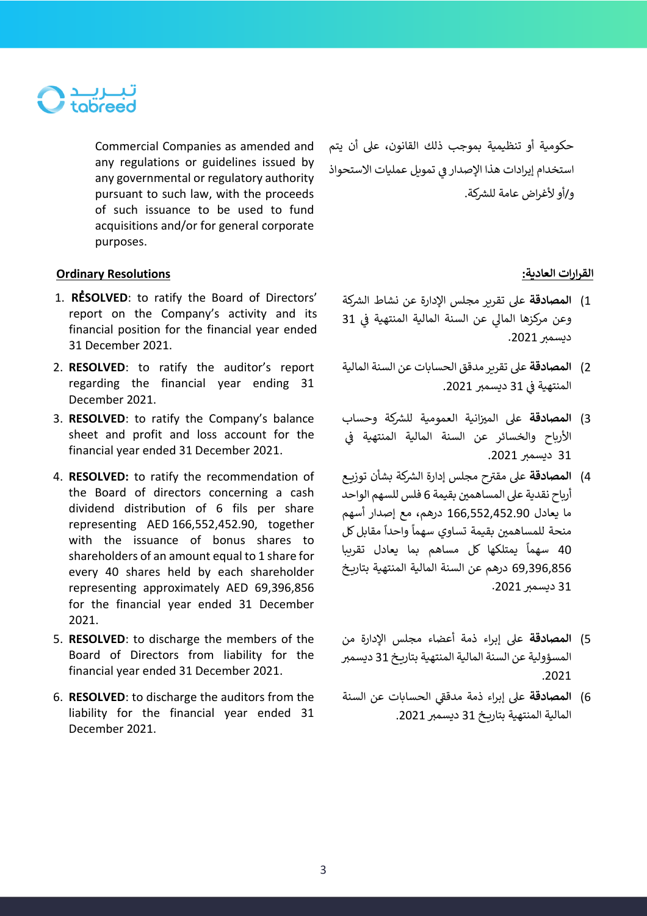

Commercial Companies as amended and any regulations or guidelines issued by any governmental or regulatory authority pursuant to such law, with the proceeds of such issuance to be used to fund acquisitions and/or for general corporate purposes.

حكومية أو تنظيمية بموجب ذلك القانون، عىل أن يتم استخدام إيرادات هذا الإصدار في تمويل عمليات الاستحواذ و/أو لأغراض عامة للشركة.

## **القرارات العادية: Resolutions Ordinary**

- 1. **RESOLVED**: to ratify the Board of Directors' report on the Company's activity and its financial position for the financial year ended 31 December 2021.
- 2. **RESOLVED**: to ratify the auditor's report regarding the financial year ending 31 December 2021.
- 3. **RESOLVED**: to ratify the Company's balance sheet and profit and loss account for the financial year ended 31 December 2021.
- 4. **RESOLVED:** to ratify the recommendation of the Board of directors concerning a cash dividend distribution of 6 fils per share representing AED 166,552,452.90, together with the issuance of bonus shares to shareholders of an amount equal to 1 share for every 40 shares held by each shareholder representing approximately AED 69,396,856 for the financial year ended 31 December 2021.
- 5. **RESOLVED**: to discharge the members of the Board of Directors from liability for the financial year ended 31 December 2021.
- 6. **RESOLVED**: to discharge the auditors from the liability for the financial year ended 31 December 2021.

- 1) <mark>المصادقة</mark> على تقرير مجلس الإدارة عن نشاط الشركة ي i وعن مركزها المالي عن السنة المالية المنتهية في 31 ديسمبر 2021.
- 2) **المصادقة** على تقرير مدقق الحسابات عن السنة المالية ي i المنتهية في 31 ديسمبر 2021.
- 3) <mark>المصادقة</mark> على الميزانية العمومية للشركة وحساب ي ֦֧֢֦֧֦֧֦֧ׅׅׅ֪֪ׅ֚֚֚֡֜֓֡֜֜֓֡֡֜֓֡֡֜֓֡֡ األرباح والخسائر عن السنة المالية المنتهية ف 31 ديسمبر 2021.
- 4) <mark>المصادقة</mark> على مقترح مجلس إدارة الشركة بشأن توزيع أرباح نقدية على المساهمين بقيمة 6 فلس للسهم الواحد ما يعادل 166,552,452.90 درهم، مع إصدار أسهم .<br>منحة للمساهمين بقيمة تساوي سهماً واحداً مقابل كل ت ت.<br>40 سهماً يمتلكها كل مساهم بما يعادل تقريبا 69,396,856 درهم عن السنة المالية المنتهية بتاريخ 31 ديسمبر 2021.
- 5( **المصادقة** عىل إبراء ذمة أعضاء مجلس اإلدارة من المسؤولية عن السنة المالية المنتهية بتاريخ 31 ديسمبر .2021
- 6) <mark>المصادقة</mark> على إبراء ذمة مدققي الحسابات عن السنة المالية المنتهية بتاريخ 31 ديسمبر 2021.